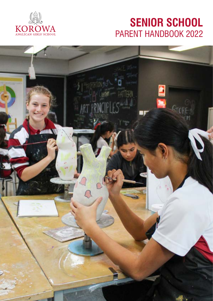

# **SENIOR SCHOOL** PARENT HANDBOOK 2022

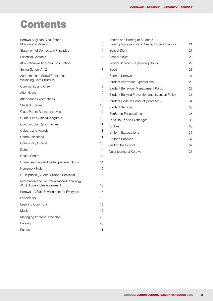# <span id="page-1-0"></span>Contents

| Korowa Anglican Girls' School<br>Mission and Values                     | 3  | Photos and Filming of Students -<br>Parent photography and filming for personal use | 21 |
|-------------------------------------------------------------------------|----|-------------------------------------------------------------------------------------|----|
| Statement of Democratic Principles                                      | 4  | School Diary                                                                        | 21 |
| <b>Essential Contacts</b>                                               | 5  | School Hours                                                                        | 22 |
| About Korowa Anglican Girls' School                                     | 6  | School Services - Operating Hours                                                   | 22 |
| Senior School A - Z                                                     | 7  | Sport                                                                               | 23 |
| Academic and Social/Emotional                                           |    | Sport at Korowa                                                                     | 27 |
| Wellbeing Care Structure                                                | 7  | <b>Student Behaviour Expectations</b>                                               | 28 |
| Community and Crew                                                      | 8  | Student Behaviour Management Policy                                                 | 28 |
| After Hours                                                             | 9  | Student Bullying Prevention and Invention Policy                                    | 31 |
| Attendance Expectations                                                 | 9  | Student Code of Conduct (Years 5-12)                                                | 34 |
| <b>Student Futures</b>                                                  | 10 | <b>Student Services</b>                                                             | 35 |
| <b>Class Parent Representatives</b>                                     | 10 | <b>SunSmart Expectations</b>                                                        | 35 |
| Curriculum Guides/Navigators                                            | 10 | Trips, Tours and Exchanges                                                          | 35 |
| Co-Curricular Opportunities                                             | 11 | <b>Tuckies</b>                                                                      | 36 |
| <b>Colours and Awards</b>                                               | 11 | <b>Uniform Expectations</b>                                                         | 36 |
| Communications                                                          | 11 | Uniform Supplier                                                                    | 37 |
| <b>Community Groups</b>                                                 | 13 | Visiting the School                                                                 | 37 |
| Dates                                                                   | 14 | Volunteering at Korowa                                                              | 37 |
| <b>Health Centre</b>                                                    | 14 |                                                                                     |    |
| Home Learning and Self-supervised Study                                 | 14 |                                                                                     |    |
| Homework Hub                                                            | 15 |                                                                                     |    |
| IT Helpdesk (Student Support Services)                                  | 15 |                                                                                     |    |
| Information and Communication Technology<br>(ICT) Student Use Agreement | 16 |                                                                                     |    |
| Korowa - A Safe Environment for Everyone                                | 17 |                                                                                     |    |
| Leadership                                                              | 18 |                                                                                     |    |
| Learning Commons                                                        | 18 |                                                                                     |    |
| Music                                                                   | 19 |                                                                                     |    |
| Managing Personal Property                                              | 20 |                                                                                     |    |
| Parking                                                                 | 20 |                                                                                     |    |
| Parties                                                                 | 21 |                                                                                     |    |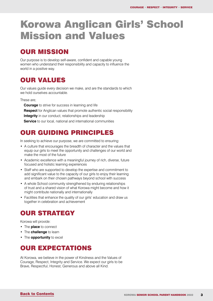# <span id="page-2-0"></span>Korowa Anglican Girls' School Mission and Values

## OUR MISSION

Our purpose is to develop self-aware, confident and capable young women who understand their responsibility and capacity to influence the world in a positive way.

## OUR VALUES

Our values guide every decision we make, and are the standards to which we hold ourselves accountable.

These are;

**Courage** to strive for success in learning and life **Respect** for Anglican values that promote authentic social responsibility **Integrity** in our conduct, relationships and leadership **Service** to our local, national and international communities

## OUR GUIDING PRINCIPLES

In seeking to achieve our purpose, we are committed to ensuring:

- A culture that encourages the breadth of character and the values that equip our girls to meet the opportunity and challenges of our world and make the most of the future
- Academic excellence with a meaningful journey of rich, diverse, future focused and holistic learning experiences
- Staff who are supported to develop the expertise and commitment to add significant value to the capacity of our girls to enjoy their learning and embark on their chosen pathways beyond school with success
- A whole School community strengthened by enduring relationships of trust and a shared vision of what Korowa might become and how it might contribute nationally and internationally
- Facilities that enhance the quality of our girls' education and draw us together in celebration and achievement

## OUR STRATEGY

Korowa will provide:

- The **place** to connect
- The **challenge** to learn
- The **opportunity** to excel

### OUR EXPECTATIONS

At Korowa, we believe in the power of Kindness and the Values of Courage, Respect, Integrity and Service. We expect our girls to be Brave, Respectful, Honest, Generous and above all Kind.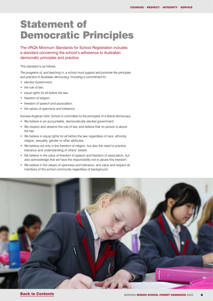# <span id="page-3-0"></span>Statement of Democratic Principles

The VRQA Minimum Standards for School Registration includes a standard concerning the school's adherence to Australian democratic principles and practice.

#### This standard is as follows:

*The programs of, and teaching in, a school must support and promote the principles and practice of Australian democracy, including a commitment to:*

- *• elected Government;*
- *• the rule of law;*
- *• equal rights for all before the law;*
- *• freedom of religion;*
- *• freedom of speech and association;*
- *• the values of openness and tolerance.*

Korowa Anglican Girls' School is committed to the principles of a liberal democracy

- We believe in an accountable, democratically elected government.
- We respect and observe the rule of law, and believe that no person is above the law.
- We believe in equal rights for all before the law, regardless of race, ethnicity, religion, sexuality, gender or other attributes.
- We believe not only in the freedom of religion, but also the need to practice tolerance and understanding of others' beliefs.
- We believe in the value of freedom of speech and freedom of association, but also acknowledge that we have the responsibility not to abuse this freedom.
- We believe in the values of openness and tolerance, and value and respect all members of the school community regardless of background.

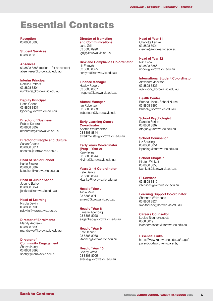# <span id="page-4-0"></span>Essential Contacts

**Reception** 03 8808 8888

**Student Services** 03 8808 8810

#### **Absences**

03 8808 8888 (option 1 for absences) absentees@korowa.vic.edu.au

**Interim Principal**

Narelle Umbers 03 8808 8804 numbers@korowa.vic.edu.au

**Deputy Principal** Liana Gooch 03 8808 8831

lgooch@korowa.vic.edu.au

#### **Director of Business**

Robert Konoroth 03 8808 8802 rkonoroth@korowa.vic.edu.au

#### **Director of People and Culture**

Susan Coates 03 8808 8811 scoates@korowa.vic.edu.au

**Head of Senior School** Karlie Stocker 03 8808 8887 kstocker@korowa.vic.edu.au

**Head of Junior School** 

Joanne Barker 03 8808 8844 jbarker@korowa.vic.edu.au

**Head of Learning** Nicola Devlin 03 8808 8906 ndevlin@korowa.vic.edu.au

**Director of Enrolments** Mandy Andrews 03 8808 8892 mandrews@korowa.vic.edu.au

**Director of Community Engagement** Sharyn Hanly 03 8808 8893

shanly@korowa.vic.edu.au

**Director of Marketing and Communications**

Jane Grlj 03 8808 8990 jgrilj@korowa.vic.edu.au

**Risk and Compliance Co-ordinator**  Jill Forsyth

03 8808 8825 jforsyth@korowa.vic.edu.au

**Finance Manager**

Hayley Rogers 03 8808 8807 hrogers@korowa.vic.edu.au

#### **Alumni Manager**

Ian Robertson 03 8808 8833 irobertson@korowa.vic.edu

#### **Early Learning Centre**

**Co-ordinator** Andréa Werkmeister 03 8808 8844 awerkmeister@korowa.vic.edu.au

#### **Early Years Co-ordinator (Prep – Year 2)** Kerry Irvine

03 8808 8844 kirvine@korowa.vic.edu.au

#### **Years 3 – 6 Co-ordinator**

Kate Banks 03 8808 8844 kbanks@korowa.vic.edu.au

#### **Head of Year 7**

Alicia Mein 03 8808 8911 amein@korowa.vic.edu.au

#### **Head of Year 8**

Elmarie Agenbag 03 8808 8928 eagenbag@korowa.vic.edu.au

#### **Head of Year 9**

Kate Tanner 03 8808 8988 ktanner@korowa.vic.edu.au

#### **Head of Year 10**

Shelby Versa 03 8808 8905 sversa@korowa.vic.edu.au **Head of Year 11**

Charlotte Lennie 03 8808 8924 clennie@korowa.vic.edu.au

**Head of Year 12**

Niki Cook 03 8808 8886 ncook@korowa.vic.edu.au

#### **International Student Co-ordinator**

Alexandra Jackson 03 8808 8826 ajackson@korowa.vic.edu.au

#### **Health Centre**

Brenda Linsell, School Nurse 03 8808 8865 blinsell@korowa.vic.edu.au

#### **School Psychologist**

Danielle Forjan 03 8808 8862 dforjan@korowa.vic.edu.au

**School Counsellor** Liz Spurling 03 8808 8854 lspurling@korowa.vic.edu.au

**School Chaplain**

Kirsten Winkett 03 8808 8858 kwinkett@korowa.vic.edu.au

**IT Services** 03 8808 8816 itservices@korowa.vic.edu.au

**Learning Support Co-ordinator** Shannon Whithouse 03 8808 8824 swhithouse@korowa.vic.edu.au

#### **Careers Counsellor**

Louise Blennerhassett 8808 8819 lblennerhassett@korowa.vic.edu.au

**Essential Links** https://www.korowa.vic.edu.au/page/ parent-portal/current-parents/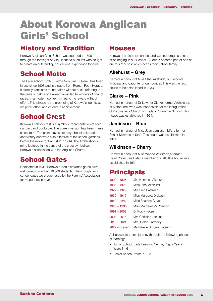# <span id="page-5-0"></span>About Korowa Anglican Girls' School

### History and Tradition

Korowa Anglican Girls' School was founded in 1890 through the foresight of Mrs Henrietta Akehurst who sought to create an outstanding educational experience for girls.

## School Motto

The Latin school motto, 'Palma Non Sine Pulvere', has been in use since 1908 and is a quote from Roman Poet, Horace. It directly translates to 'no palms without dust', referring to the prize of palms or a wreath awarded to winners of chariot races. In a modern context, it means 'no reward without effort'. This phrase is the grounding of Korowa's identity as we prize 'effort' and celebrate achievement.

## School Crest

Korowa's school crest is a symbolic representation of both our past and our future. The current version has been in use since 1920. The palm leaves are a symbol of celebration and victory and were also a feature of the school gardens before the move to 'Ranfurlie' in 1914. The Archbishop's mitre featured in the centre of the crest symbolises Korowa's association with the Anglican Church.

## School Gates

Dedicated in 1938, Korowa's iconic entrance gates have welcomed more than 10,000 students. The wrought iron school gates were purchased by the Parents' Association for 40 pounds in 1936.

### **Houses**

Korowa is a place to connect and we encourage a sense of belonging in our School. Students become part of one of our four 'houses' which act as their School family.

### **Akehurst – Grey**

Named in honour of Miss Ethel Akehurst, our second Principal and daughter of our founder. This was the last house to be established in 1933.

### **Clarke – Pink**

Named in honour of Dr Lowther Clarke, former Archbishop of Melbourne, who was responsible for the inauguration of Korowa as a Church of England Grammar School. This house was established in 1924.

### **Jamieson – Blue**

Named in honour of Miss Jean Jamieson MA, a former Senior Mistress of Staff. This house was established in  $1024$ 

### **Wilkinson – Cherry**

Named in honour of Miss Wanda Wilkinson,a former Head Prefect and later a member of staff. This house was established in 1924.

### **Principals**

| $1899 - 1905$  | Mrs Henrietta Akehurst      |
|----------------|-----------------------------|
| $1905 - 1926$  | Miss Ethel Akehurst         |
| 1927 - 1929    | Mrs Fnid Fastman            |
| $1930 - 1949$  | Miss Margaret Dickson       |
| $1950 - 1969$  | Miss Beatrice Guyett        |
| $1970 - 1990$  | Miss Margaret McPherson     |
| $1991 - 2003$  | Dr Roslyn Otzen             |
| $2003 - 2015$  | Mrs Christine Jenkins       |
| 2016 – 2021    | Mrs Helen Carmody           |
| 2022 – present | Ms Narelle Umbers (Interim) |
|                |                             |

At Korowa, students journey through the following phases of learning:

- Junior School: Early Learning Centre, Prep Year 2, Years  $3 - 6$
- Senior School: Years 7 12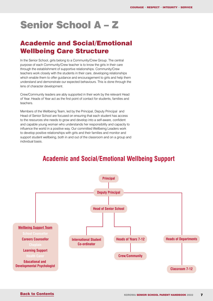# <span id="page-6-0"></span>Senior School A – Z

## Academic and Social/Emotional Wellbeing Care Structure

In the Senior School, girls belong to a Community/Crew Group. The central purpose of each Community/Crew teacher is to know the girls in their care through the establishment of supportive relationships. Community/Crew teachers work closely with the students in their care, developing relationships which enable them to offer guidance and encouragement to girls and help them understand and demonstrate our expected behaviours. This is done through the lens of character development.

Crew/Community leaders are ably supported in their work by the relevant Head of Year. Heads of Year act as the first point of contact for students, families and teachers.

Members of the Wellbeing Team, led by the Principal, Deputy Principal and Head of Senior School are focused on ensuring that each student has access to the resources she needs to grow and develop into a self-aware, confident and capable young woman who understands her responsibility and capacity to influence the world in a positive way. Our committed Wellbeing Leaders work to develop positive relationships with girls and their families and monitor and support student wellbeing, both in and out of the classroom and on a group and individual basis.

## **Academic and Social/Emotional Wellbeing Support**

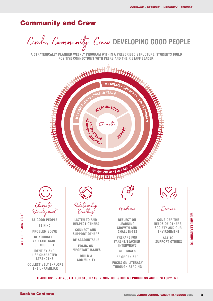### <span id="page-7-0"></span>Community and Crew

Circle, Community, Crew **DEVELOPING GOOD PEOPLE**

**A STRATEGICALLY PLANNED WEEKLY PROGRAM WITHIN A PRESCRIBED STRUCTURE. STUDENTS BUILD POSITIVE CONNECTIONS WITH PEERS AND THEIR STAFF LEADER.** 



 **TEACHERS: • ADVOCATE FOR STUDENTS • MONITOR STUDENT PROGRESS AND DEVELOPMENT**

**WE ARE LEARNING TO**

**WE ARE LEARNING TO**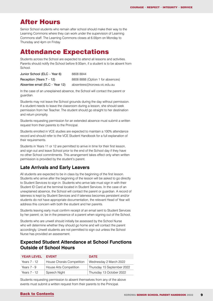### <span id="page-8-0"></span>After Hours

Senior School students who remain after school should make their way to the Learning Commons where they can work under the supervision of Learning Commons staff. The Learning Commons closes at 6.00pm on Monday to Thursday and 4pm on Friday.

### Attendance Expectations

Students across the School are expected to attend all lessons and activities. Parents should notify the School before 9.00am, if a student is to be absent from School.

| Junior School (ELC - Year 6)   | 8808 8844                         |
|--------------------------------|-----------------------------------|
| Reception (Years $7 - 12$ )    | 8808 8888 (Option 1 for absences) |
| Absentee email (ELC - Year 12) | absentees@korowa.vic.edu.au       |

In the case of an unexplained absence, the School will contact the parent or guardian.

Students may not leave the School grounds during the day without permission. If a student needs to leave the classroom during a lesson, she should seek permission from her Teacher. The student should go straight to her destination and return promptly.

Students requesting permission for an extended absence must submit a written request from their parents to the Principal.

Students enrolled in VCE studies are expected to maintain a 100% attendance record and should refer to the VCE Student Handbook for a full explanation of their requirements.

Students in Years 11 or 12 are permitted to arrive in time for their first lesson, and sign out and leave School prior to the end of the School day if they have no other School commitments. This arrangement takes effect only when written permission is provided by the student's parent.

### **Late Arrivals and Early Leavers**

All students are expected to be in class by the beginning of the first lesson. Students who arrive after the beginning of the lesson will be asked to go directly to Student Services to sign in. Students who arrive late must sign in with their Student ID Card at the terminal located in Student Services. In the case of an unexplained absence, the School will contact the parent or guardian. A record of lateness is kept by Student Services and if lateness becomes persistent and/or students do not have appropriate documentation, the relevant Head of Year will address this concern with both the student and her parents.

Students leaving early must confirm receipt of an email sent to Student Services by her parent; or, be in the presence of a parent when signing out of the School.

Students who are unwell should initially be assessed by the School Nurse who will determine whether they should go home and will contact the parent accordingly. Unwell students are not permitted to sign out unless the School Nurse has provided an assessment.

### **Expected Student Attendance at School Functions Outside of School Hours**

| <b>YEAR LEVEL</b> | <b>FVFNT</b>              | <b>DATE</b>                |
|-------------------|---------------------------|----------------------------|
| Years 7 - 12      | House Chorals Competition | Wednesday 2 March 2022     |
| Years $7 - 9$     | House Arts Competition    | Thursday 15 September 2022 |
| Years 7 - 12      | Speech Night              | Thursday 13 October 2022   |

Students requesting permission to absent themselves from any of the above events must submit a written request from their parents to the Principal.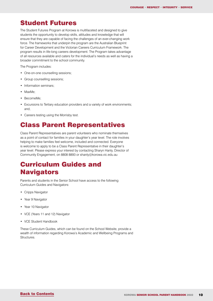### <span id="page-9-0"></span>Student Futures

The Student Futures Program at Korowa is multifaceted and designed to give students the opportunity to develop skills, attitudes and knowledge that will ensure that they are capable of facing the challenges of an ever-changing work force. The frameworks that underpin the program are the Australian Blueprint for Career Development and the Victorian Careers Curriculum Framework. The program results in life-long careers development. The Program takes advantage of all resources available and caters for the individual's needs as well as having a broader commitment to the school community.

The Program includes:

- One-on-one counselling sessions;
- Group counselling sessions;
- Information seminars;
- MaxMe;
- BecomeMe;
- Excursions to Tertiary education providers and a variety of work environments: and,
- Careers testing using the Morrisby test.

### Class Parent Representatives

Class Parent Representatives are parent volunteers who nominate themselves as a point of contact for families in your daughter's year level. The role involves helping to make families feel welcome, included and connected. Everyone is welcome to apply to be a Class Parent Representative in their daughter's year level. Please express your interest by contacting Sharyn Hanly, Director of Community Engagement, on 8808 8893 or shanly@korowa.vic.edu.au

## Curriculum Guides and **Navigators**

Parents and students in the Senior School have access to the following Curriculum Guides and Navigators:

- Cripps Navigator
- Year 9 Navigator
- Year 10 Navigator
- VCE (Years 11 and 12) Navigator
- VCE Student Handbook

These Curriculum Guides, which can be found on the School Website, provide a wealth of information regarding Korowa's Academic and Wellbeing Programs and **Structures**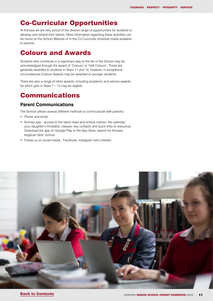### <span id="page-10-0"></span>Co-Curricular Opportunities

At Korowa we are very proud of the diverse range of opportunities for students to develop and extend their talents. More information regarding these activities can be found on the School Website or in the Co-Curricular schedule made available to parents.

### Colours and Awards

Students who contribute in a significant way to the life of the School may be acknowledged through the award of 'Colours' or 'Half Colours'. These are generally awarded to students in Years 11 and 12; however, in exceptional circumstances Colours Awards may be awarded to younger students.

There are also a range of other awards, including academic and service awards for which girls in Years 7 – 12 may be eligible.

## Communications

#### **Parent Communications**

The School utilises several different methods to communicate with parents:

- Phone and email
- Korowa app access to the latest news and school notices, the calendar, your daughter's timetable, classes, key contacts and quick links to resources. Download the app on Google Play or the App Store, search for Korowa Anglican Girls' School.
- Follow us on social media Facebook, Instagram and LinkedIn.

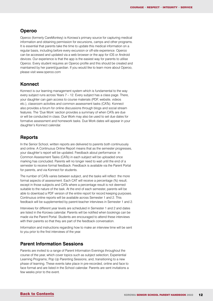#### **Operoo**

Operoo (formerly CareMonkey) is Korowa's primary source for capturing medical information and obtaining permission for excursions, camps and other programs. It is essential that parents take the time to update this medical information on a regular basis, including before every excursion or off-site experience. Operoo can be accessed and updated via a web browser or the app for iOS or Android devices. Our experience is that the app is the easiest way for parents to utilise Operoo. Every student requires an Operoo profile and this should be created and maintained by her parent/guardian. If you would like to learn more about Operoo, please visit www.operoo.com

#### **Konnect**

Konnect is our learning management system which is fundamental to the way every subject runs across Years 7 – 12. Every subject has a class page. There, your daughter can gain access to course materials (PDF, website, videos etc.), classroom activities and common assessment tasks (CATs). Konnect also provides a forum for online discussions through blogs and social stream features. The 'Due Work' section provides a summary of when CATs are due or will be conducted in class. Due Work may also be used to set due dates for formative assessment and homework tasks. Due Work dates will appear in your daughter's Konnect calendar.

#### **Reports**

In the Senior School, written reports are delivered to parents both continuously and online. A Continuous Online Report means that as the semester progresses, your daughter's report will be updated. Feedback about performance in Common Assessment Tasks (CATs) in each subject will be uploaded once marking has concluded. Parents will no longer need to wait until the end of a semester to receive formal feedback. Feedback is available via the Parent Portal for parents, and via Konnect for students.

The number of CATs varies between subject, and the tasks will reflect the more formal aspects of assessment. Each CAT will receive a percentage (%) result, except in those subjects and CATs where a percentage result is not deemed suitable to the nature of the task. At the end of each semester, parents will be able to download a PDF version of the entire report for record keeping purposes. Continuous online reports will be available across Semester 1 and 2. This feedback will be supplemented by parent-teacher interviews in Semester 1 and 2.

Interviews for different year levels are scheduled in Semester 1 and 2 and dates are listed in the Korowa calendar. Parents will be notified when bookings can be made via the Parent Portal. Students are encouraged to attend these interviews with their parents so that they are part of the feedback conversation.

Information and instructions regarding how to make an interview time will be sent to you prior to the first interviews of the year.

#### **Parent Information Sessions**

Parents are invited to a range of Parent Information Evenings throughout the course of the year, which cover topics such as subject selection; Experiential Learning Programs; Pop Up Parenting Sessions; and, transitioning to a new phase of learning. These events take place in pre-recorded, online and face to face format and are listed in the School calendar. Parents are sent invitations a few weeks prior to the event.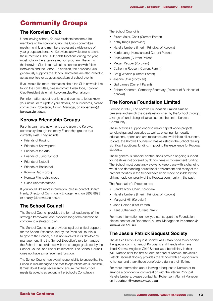## Community Groups

### **The Korovian Club**

Upon leaving school, Korowa students become a life members of the Korovian Club. The Club's committee meets monthly and members represent a wide range of year groups and eras. All Korovians are welcome to attend these meetings. The Club holds functions during the year, most notably the extensive reunion program. The aim of the Korovian Club is to maintain a connection with fellow Korovians and the School. In addition, the Korovian Club generously supports the School. Korovians are also invited to act as mentors or as guest speakers at school events.

If you would like more information about the Club or would like to join the committee, please contact Helen Tope, Korovian Club President via email: [korovian.club@gmail.com](mailto:korovian.club@gmail.com)

For information about reunions and events; to let us know your news; or to update your details, on our records, please contact Ian Robertson, Alumni Manager, on [irobertson@](mailto:irobertson@korowa.vic.edu.au) [korowa.vic.edu.au](mailto:irobertson@korowa.vic.edu.au)

### **Korowa Friendship Groups**

Parents can make new friends and grow the Korowa community through the many Friendship groups that currently exist. They include:

- Friends of Rowing
- Friends of Snowsports
- Friends of the Arts
- Friends of Junior School
- Friends of Netball
- Friends of Basketball
- Korowa Dad's group
- Korowa Friendship group
- Class Representatives

If you would like more information, please contact Sharyn Hanly, Director of Community Engagement, on 8808 8893 or shanly@korowa.vic.edu.au

### **The School Council**

The School Council provides the formal leadership of the strategic framework, and provides long-term direction to conform to a strategic plan.

The School Council also provides loyal but critical support for the School Executive, led by the Principal. Its role is to govern the School, but is not involved in its day-to-day management. It is the School Executive's role to manage the School in accordance with the strategic goals set by the School Council and under its direction. The School Council does not have a management function.

The School Council has overall responsibility to ensure that the School is well-managed and that its operations are successful. It must do all things necessary to ensure that the School meets its objects as set out in the School's Constitution.

The School Council is:

- Stuart Major, Chair (Current Parent)
- Kathy Kings (Korovian)
- Narelle Umbers (Interim Principal of Korowa)
- Karrie Long (Korovian and Current Parent)
- Ross Milton (Current Parent)
- Megan Pepper (Korovian)
- Catherine Robson (Current Parent)
- Craig Whalen (Current Parent)
- Joanne Chin (Korovian)
- Gail James (Current Parent)
- Robert Konoroth, Company Secretary (Director of Business of Korowa)

### **The Korowa Foundation Limited**

Formed in 1990, The Korowa Foundation Limited aims to preserve and enrich the ideals established by the School through a range of fundraising initiatives across the entire Korowa Community.

These activities support ongoing major capital works projects, scholarships and bursaries as well as ensuring high-quality educational, sports and arts resources are available to all students. To date, the Korowa Foundation has assisted in the School raising significant additional funding, improving the experience for Korowa students.

These generous financial contributions provide ongoing support for initiatives not covered by School fees or Government funding. The School must constantly evolve to keep pace with a changing world and demanding educational environment and many of the present facilities in the School have been made possible by the philanthropic generosity of the Korowa community in the past.

The Foundation's Directors are:

- Sandra Ivory, Chair (Korovian)
- Narelle Umbers (Interim Principal of Korowa)
- Margaret Hill (Korovian)
- John Carson (Past Parent)
- Kent Sutherland (Current Parent)

For more information on how you can support the Foundation, please contact Ian Robertson, Alumni Manager on [irobertson@](mailto:irobertson@korowa.vic.edu.au) [korowa.vic.edu.au](mailto:irobertson@korowa.vic.edu.au)

### **The Jessie Patrick Bequest Society**

The Jessie Patrick Bequest Society was established to recognise the special commitment of Korovians and friends who have listed Korowa Anglican Girls' School as a beneficiary in their Will. Named after the first student to enrol at Korowa, the Jessie Patrick Bequest Society provides the School with an opportunity to honour and thank these benefactors during their lifetime.

For more information about leaving a bequest to Korowa or to arrange a confidential conversation with the Interim Principal, Narelle Umbers, please contact Ian Robertson, Alumni Manager, on [irobertson@korowa.vic.edu.au](mailto:irobertson@korowa.vic.edu.au)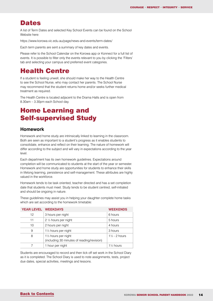### <span id="page-13-0"></span>**Dates**

A list of Term Dates and selected Key School Events can be found on the School Website here:

https://www.korowa.vic.edu.au/page/news-and-events/term-dates/

Each term parents are sent a summary of key dates and events.

Please refer to the School Calendar on the Korowa app or Konnect for a full list of events. It is possible to filter only the events relevant to you by clicking the 'Filters' tab and selecting your campus and preferred event categories.

## Health Centre

If a student is feeling unwell, she should make her way to the Health Centre to see the School Nurse, who may contact her parents. The School Nurse may recommend that the student returns home and/or seeks further medical treatment as required.

The Health Centre is located adjacent to the Drama Halls and is open from 8.30am – 3.30pm each School day.

## Home Learning and Self-supervised Study

#### **Homework**

Homework and home study are intrinsically linked to learning in the classroom. Both are seen as important to a student's progress as it enables students to consolidate, enhance and reflect on their learning. The nature of homework will differ according to the subject and will vary in expectations according to the year level.

Each department has its own homework guidelines. Expectations around completion will be communicated to students at the start of the year or semester. Homework and home study are opportunities for students to enhance their skills in lifelong learning, persistence and self-management. These attributes are highly valued in the workforce.

Homework tends to be task oriented, teacher directed and has a set completion date that students must meet. Study tends to be student centred, self-initiated and should be ongoing in nature.

These guidelines may assist you in helping your daughter complete home tasks which are set according to the homework timetable:

| <b>YEAR LEVEL WEEKDAYS</b> |                                                                    | <b>WEEKENDS</b>          |
|----------------------------|--------------------------------------------------------------------|--------------------------|
| 12 <sup>°</sup>            | 3 hours per night                                                  | 6 hours                  |
| 11                         | 2 1/2 hours per night                                              | 5 hours                  |
| 10                         | 2 hours per night                                                  | 4 hours                  |
| 9                          | 11/2 hours per night                                               | 3 hours                  |
| 8                          | 11/2 hours per night<br>(including 30 minutes of reading/revision) | $1\frac{1}{2}$ - 2 hours |
|                            | 1 hour per night                                                   | 11/ <sub>2</sub> hours   |

Students are encouraged to record and then tick off set work in the School Diary as it is completed. The School Diary is used to note assignments, tests, project due dates, special activities, meetings and lessons.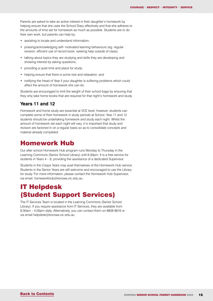<span id="page-14-0"></span>Parents are asked to take an active interest in their daughter's homework by helping ensure that she uses the School Diary effectively and that she adheres to the amounts of time set for homework as much as possible. Students are to do their own work, but parents can help by:

- assisting to locate and understand information;
- praising/acknowledging self- motivated learning behaviours (eg. regular revision, efficient use of record book, seeking help outside of class);
- talking about topics they are studying and skills they are developing and showing interest by asking questions:
- providing a quiet time and place for study;
- helping ensure that there is some rest and relaxation; and
- notifying the Head of Year if your daughter is suffering problems which could affect the amount of homework she can do.

Students are encouraged to limit the weight of their school bags by ensuring that they only take home books that are required for that night's homework and study.

#### **Years 11 and 12**

Homework and home study are essential at VCE level; however, students can complete some of their homework in study periods at School. Year 11 and 12 students should be undertaking homework and study each night. Whilst the amount of homework set each night will vary, it is important that study and revision are factored in on a regular basis so as to consolidate concepts and material already completed.

### Homework Hub

Our after school Homework Hub program runs Monday to Thursday in the Learning Commons (Senior School Library) until 6.00pm. It is a free service for students in Years 4 – 8, providing the assistance of a dedicated Supervisor.

Students in the Cripps Years may avail themselves of the Homework Hub service. Students in the Senior Years are still welcome and encouraged to use the Library for study. For more information, please contact the Homework Hub Supervisor, via email: homeworkhub@korowa.vic.edu.au

## IT Helpdesk (Student Support Services)

The IT Services Team is located in the Learning Commons (Senior School Library). If you require assistance from IT Services, they are available from 8.00am – 4.00pm daily. Alternatively, you can contact them on 8808 8816 or via email helpdesk@korowa.vic.edu.au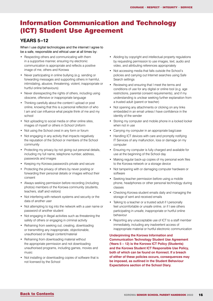## <span id="page-15-0"></span>Information Communication and Technology (ICT) Student Use Agreement

### **YEARS 5–12**

When I use digital technologies and the internet I agree to be a safe, responsible and ethical user at all times by:

- Respecting others and communicating with them in a supportive manner, ensuring my electronic communication is appropriate and reflects a positive image of me, others and Korowa
- Never participating in online bullying (e.g. sending or forwarding messages and supporting others in harmful, intimidating, abusive, threatening, violent, inappropriate or hurtful online behaviours)
- Never disrespecting the rights of others, including using obscene, offensive or inappropriate language
- Thinking carefully about the content I upload or post online, knowing that this is a personal reflection of who I am and can influence what people think of me and my school
- Not uploading to social media or other online sites, images of myself or others in School Uniform
- Not using the School crest in any form or forum
- Not engaging in any activity that impacts negatively the reputation of the School or members of the School community
- Protecting my privacy by not giving out personal details, including my full name, telephone number, address, passwords and images
- Keeping my Korowa password/s private and secure
- Protecting the privacy of others by never posting or forwarding their personal details or images without their consent
- Always seeking permission before recording (including photos) members of the Korowa community (students, teachers, staff and visitors)
- Not interfering with network systems and security or the data of another user
- Not attempting to log into the network with a user name or password of another student
- Not engaging in illegal activities such as threatening the safety of others or engaging in criminal activity
- Refraining from seeking out, creating, downloading or transmitting any inappropriate, objectionable, unauthorised or illegal content/material
- Refraining from downloading material without the appropriate permission and not downloading unauthorised programs, including games, movies and music
- Not installing or downloading copies of software that is not licensed by the School
- Abiding by copyright and intellectual property regulations by requesting permission to use images, text, audio and video, and attributing references appropriately
- Not accessing media that falls outside the School's policies and carrying out Internet searches using Safe Search settings
- Reviewing and ensuring that I meet the terms and conditions of use for any digital or online tool (e.g. age restrictions, parental consent requirements), and if my understanding is unclear seeking further explanation from a trusted adult (parent or teacher)
- Not opening any attachments or clicking on any links embedded in an email unless I have confidence in the identity of the sender
- Storing my computer and mobile phone in a locked locker when not in use
- Carrying my computer in an appropriate bag/case
- Handling ICT devices with care and promptly notifying IT Services of any malfunction, loss or damage on my computer
- Ensuring my computer is fully charged and available for use at the beginning of the School day
- Making regular back-up copies of my personal work files to the Korowa network or a storage device
- Not tampering with or damaging computer hardware or software
- Seeking teacher permission before using a mobile phone, headphones or other personal technology during classes
- Checking Korowa student emails daily and managing the storage of sent and received emails
- Talking to a teacher or a trusted adult if I personally feel uncomfortable or unsafe online, or if I see others participating in unsafe, inappropriate or hurtful online behaviour
- Reporting any unacceptable use of ICT to a staff member immediately, including any inadvertent access of inappropriate material or hurtful electronic communication

**Underpinning the Korowa Information and Communication Technology Student Use Agreement (Years 5 – 12) is the Korowa ICT Policy (Students) and the Korowa Student ICT Responsible Use Policy, both of which can be found on Konnect. If a breach of either of these policies occurs, consequences may be imposed, as outlined in the Student Behaviour Expectations section of the School Diary.**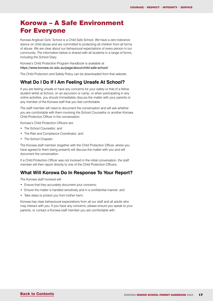## <span id="page-16-0"></span>Korowa – A Safe Environment For Everyone

Korowa Anglican Girls' School is a Child Safe School. We have a zero tolerance stance on child abuse and are committed to protecting all children from all forms of abuse. We are clear about our behavioural expectations of every person in our community. The information below is shared with all students in a range of forms, including the School Diary.

Korowa's Child Protection Program Handbook is available at: https://www.korowa.vic.edu.au/page/about/child-safe-school/

The Child Protection and Safety Policy can be downloaded from that website.

### **What Do I Do If I Am Feeling Unsafe At School?**

If you are feeling unsafe or have any concerns for your safety or that of a fellow student whilst at School, on an excursion or camp, or when participating in any online activities, you should immediately discuss the matter with your parents or any member of the Korowa staff that you feel comfortable.

The staff member will need to document the conversation and will ask whether you are comfortable with them involving the School Counsellor or another Korowa Child Protection Officer in the conversation.

Korowa's Child Protection Officers are:

- The School Counsellor; and
- The Risk and Compliance Coordinator; and
- The School Chaplain

The Korowa staff member (together with the Child Protection Officer, where you have agreed to them being present) will discuss the matter with you and will document the conversation.

If a Child Protection Officer was not involved in the initial conversation, the staff member will then report directly to one of the Child Protection Officers.

### **What Will Korowa Do In Response To Your Report?**

The Korowa staff involved will:

- Ensure that they accurately document your concerns;
- Ensure the matter is handled sensitively and in a confidential manner; and
- Take steps to protect you from further harm.

Korowa has clear behavioural expectations from all our staff and all adults who may interact with you. If you have any concerns, please ensure you speak to your parents, or contact a Korowa staff member you are comfortable with.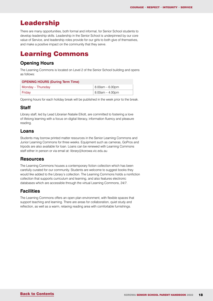### <span id="page-17-0"></span>Leadership

There are many opportunities, both formal and informal, for Senior School students to develop leadership skills. Leadership in the Senior School is underpinned by our core value of Service, and leadership roles provide for our girls to both give of themselves, and make a positive impact on the community that they serve.

## Learning Commons

### **Opening Hours**

The Learning Commons is located on Level 2 of the Senior School building and opens as follows:

| <b>OPENING HOURS (During Term Time)</b> |                   |  |  |  |  |  |
|-----------------------------------------|-------------------|--|--|--|--|--|
| Monday – Thursday                       | $8.00am - 6.00pm$ |  |  |  |  |  |
| Friday                                  | $8.00am - 4.00pm$ |  |  |  |  |  |

Opening hours for each holiday break will be published in the week prior to the break.

### **Staff**

Library staff, led by Lead Librarian Natalie Elliott, are committed to fostering a love of lifelong learning with a focus on digital literacy, information fluency and pleasure reading.

#### **Loans**

Students may borrow printed matter resources in the Senior Learning Commons and Junior Learning Commons for three weeks. Equipment such as cameras, GoPros and tripods are also available for loan. Loans can be renewed with Learning Commons staff either in person or via email at: library@korowa.vic.edu.au

#### **Resources**

The Learning Commons houses a contemporary fiction collection which has been carefully curated for our community. Students are welcome to suggest books they would like added to the Library's collection. The Learning Commons holds a nonfiction collection that supports curriculum and learning, and also features electronic databases which are accessible through the virtual Learning Commons, 24/7.

### **Facilities**

The Learning Commons offers an open plan environment, with flexible spaces that support teaching and learning. There are areas for collaboration, quiet study and reflection, as well as a warm, relaxing reading area with comfortable furnishings.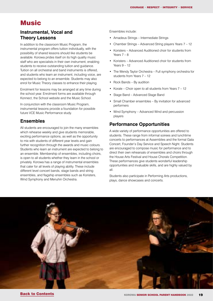### <span id="page-18-0"></span>Music

#### **Instrumental, Vocal and Theory Lessons**

In addition to the classroom Music Program, the instrumental program offers tuition individually, with the possibility of shared lessons should like students be available. Korowa prides itself on its high quality music staff who are specialists in their own instrument, enabling students to receive outstanding tuition and guidance. Tuition on all orchestral and band instruments is offered, and students who learn an instrument, including voice, are expected to belong to an ensemble. Students may also enrol for Music Theory classes to enhance their playing.

Enrolment for lessons may be arranged at any time during the school year. Enrolment forms are available through Konnect, the School website and the Music School.

In conjunction with the classroom Music Program, instrumental lessons provide a foundation for possible future VCE Music Performance study.

#### **Ensembles**

All students are encouraged to join the many ensembles which rehearse weekly and give students memorable. exciting performance options, as well as the opportunity to mix with students of different year levels and gain further recognition through the awards and music colours. Students who learn an instrument are expected to belong to an ensemble. Membership of ensembles, including choirs, is open to all students whether they learn in the school or privately. Korowa has a range of instrumental ensembles that cater for all levels of playing ability. These include different level concert bands, stage bands and string ensembles, and flagship ensembles such as Koristers, Wind Symphony and Menuhin Orchestra.

Ensembles include:

- Amadeus Strings Intermediate Strings
- Chamber Strings Advanced String players Years 7 12
- Koristers Advanced Auditioned choir for students from Years  $7 - 8$
- Koristers Advanced Auditioned choir for students from Years 9 – 12
- The Wendy Taylor Orchestra Full symphony orchestra for students from Years 7 – 12
- Rock Bands By audition
- Korale Choir open to all students from Years 7 12
- Stage Band Advanced Stage Band
- Small Chamber ensembles By invitation for advanced performers
- Wind Symphony Advanced Wind and percussion players

#### **Performance Opportunities**

A wide variety of performance opportunities are offered to students. These range from informal soirees and lunchtime concerts to performances at Assemblies and the formal Gala Concert, Founder's Day Service and Speech Night. Students are encouraged to compose music for performance and to direct their own rehearsals of ensembles and choirs through the House Arts Festival and House Chorals Competition. These performances give students wonderful leadership opportunities and invaluable skills, and are highly valued by all.

Students also participate in Performing Arts productions, plays, dance showcases and concerts.

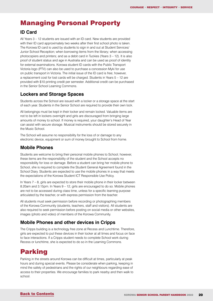## <span id="page-19-0"></span>Managing Personal Property

#### **ID Card**

All Years 3 – 12 students are issued with an ID card. New students are provided with their ID card approximately two weeks after their first school photo is taken. The Korowa ID card is used by students to sign in and out at Student Services/ Junior School Reception; when borrowing items from the library; when accessing photocopiers and printers; and as a debit card in Tuckies (Years 3 – 12). It is also proof of student status and age in Australia and can be used as proof of identity for external examinations. Korowa student ID cards with the Public Transport Victoria logo (PTV) can also be used to purchase a concession Myki for use on public transport in Victoria. The initial issue of the ID card is free; however, a replacement cost for lost cards will be charged. Students in Years 5 – 12 are provided with \$10 printing credit per semester. Additional credit can be purchased in the Senior School Learning Commons.

### **Lockers and Storage Spaces**

Students across the School are issued with a locker or a storage space at the start of each year. Students in the Senior School are required to provide their own lock.

All belongings must be kept in their locker and remain locked. Valuable items are not to be left in lockers overnight and girls are discouraged from bringing large amounts of money to school. If money is required, your daughter's Head of Year can assist with secure storage. Musical instruments should be stored securely in the Music School.

The School will assume no responsibility for the loss of or damage to any electronic device, equipment or sum of money brought to School from home.

### **Mobile Phones**

Students are welcome to bring their personal mobile phones to School; however, these items are the responsibility of the student and the School accepts no responsibility for loss or damage. Before a student can bring her mobile phone to School, she is required to complete the Student General Agreement found in the School Diary. Students are expected to use the mobile phones in a way that meets the expectations of the Korowa Student ICT Responsible Use Policy.

In Years 7 – 8, girls are expected to store their mobile phone in their locker between 8.20am and 3.15pm. In Years 9 – 12, girls are encouraged to do so. Mobile phones are not to be accessed during class time, unless for a specific learning purpose articulated by the teacher, or with express permission from the teacher.

All students must seek permission before recording or photographing members of the Korowa Community (students, teachers, staff and visitors). All students are also required to seek permission before posting on social media or other websites, images (photo and video) of members of the Korowa Community.

### **Mobile Phones and other devices in Cripps**

The Cripps building is a technology free zone at Recess and Lunchtime. Therefore, girls are expected to put these devices in their locker at all times and focus on face to face interactions. If a Cripps student needs to complete School work during Recess or lunchtime, she is expected to do so in the Learning Commons.

## Parking

Parking in the streets around Korowa can be difficult at times, particularly at peak hours and during special events. Please be considerate when parking, keeping in mind the safety of pedestrians and the rights of our neighbours regarding ease of access to their properties. We encourage families to park nearby and then walk to school.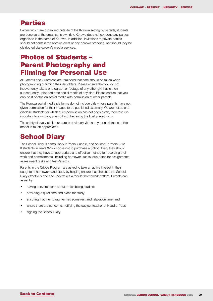### <span id="page-20-0"></span>Parties

Parties which are organised outside of the Korowa setting by parents/students are done so at the organiser's own risk. Korowa does not condone any parties organised in the name of Korowa. In addition, invitations to private parties should not contain the Korowa crest or any Korowa branding, nor should they be distributed via Korowa's media services.

## Photos of Students – Parent Photography and Filming for Personal Use

All Parents and Guardians are reminded that care should be taken when photographing or filming their daughters. Please ensure that you do not inadvertently take a photograph or footage of any other girl that is then subsequently uploaded onto social media of any kind. Please ensure that you only post photos on social media with permission of other parents.

The Korowa social media platforms do not include girls whose parents have not given permission for their images to be published externally. We are not able to disclose students for which such permission has not been given, therefore it is important to avoid any possibility of betraying the trust placed in us.

The safety of every girl in our care is obviously vital and your assistance in this matter is much appreciated.

## **School Diary**

The School Diary is compulsory in Years 7 and 8, and optional in Years 9-12. If students in Years 9-12 choose not to purchase a School Diary they should ensure that they have an appropriate and effective method for recording their work and commitments, including homework tasks, due dates for assignments, assessment tasks and tests/exams.

Parents in the Cripps Program are asked to take an active interest in their daughter's homework and study by helping ensure that she uses the School Diary effectively and she undertakes a regular homework pattern. Parents can assist by:

- having conversations about topics being studied;
- providing a quiet time and place for study;
- ensuring that their daughter has some rest and relaxation time; and
- where there are concerns, notifying the subject teacher or Head of Year;
- signing the School Diary.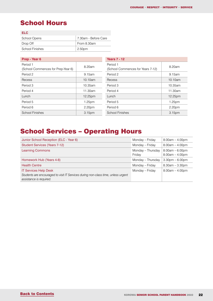## <span id="page-21-0"></span>School Hours

| <b>FIC</b>             |                      |
|------------------------|----------------------|
| School Opens           | 7.30am - Before Care |
| Drop Off               | From 8.30am          |
| <b>School Finishes</b> | 2.50pm               |

| Prep - Year 6                                  |         | <b>Years 7 - 12</b>                           |         |  |  |  |  |
|------------------------------------------------|---------|-----------------------------------------------|---------|--|--|--|--|
| Period 1<br>(School Commences for Prep-Year 6) | 8.20am  | Period 1<br>(School Commences for Years 7-12) | 8.20am  |  |  |  |  |
| Period 2                                       | 9.15am  | Period 2                                      | 9.15am  |  |  |  |  |
| Recess                                         | 10.10am | Recess                                        | 10.10am |  |  |  |  |
| Period 3                                       | 10.35am | Period 3                                      | 10.35am |  |  |  |  |
| Period 4                                       | 11.30am | Period 4                                      | 11.30am |  |  |  |  |
| Lunch                                          | 12.25pm | Lunch                                         | 12.25pm |  |  |  |  |
| Period 5                                       | 1.25pm  | Period 5                                      | 1.25pm  |  |  |  |  |
| Period 6                                       | 2.20pm  | Period 6                                      | 2.20pm  |  |  |  |  |
| <b>School Finishes</b>                         | 3.15pm  | <b>School Finishes</b>                        | 3.15pm  |  |  |  |  |

## School Services – Operating Hours

| Junior School Reception (ELC - Year 6)                                                                                                       | Monday – Friday             | $8.00am - 4.00pm$                      |
|----------------------------------------------------------------------------------------------------------------------------------------------|-----------------------------|----------------------------------------|
| <b>Student Services (Years 7-12)</b>                                                                                                         | Monday - Friday             | $8.00am - 4.00pm$                      |
| <b>Learning Commons</b>                                                                                                                      | Monday - Thursday<br>Friday | $8.00am - 6.00pm$<br>$8.00am - 4.00pm$ |
| Homework Hub (Years 4-8)                                                                                                                     | Monday - Thursday           | $3.30pm - 6.00pm$                      |
| <b>Health Centre</b>                                                                                                                         | Monday – Friday             | $8.30am - 3.30pm$                      |
| <b>IT Services Help Desk</b><br>Students are encouraged to visit IT Services during non-class time, unless urgent<br>assistance is required. | Monday - Friday             | $8.00am - 4.00pm$                      |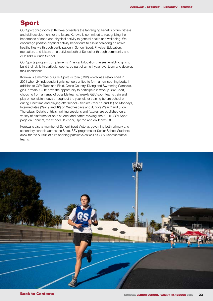### <span id="page-22-0"></span>Sport

Our Sport philosophy at Korowa considers the far-ranging benefits of fun, fitness and skill development for the future. Korowa is committed to recognising the importance of sport and physical activity to general health and wellbeing. We encourage positive physical activity behaviours to assist achieving an active healthy lifestyle through participation in School Sport, Physical Education, recreation, and leisure time activities both at School or through community and club links outside School.

Our Sports program complements Physical Education classes, enabling girls to build their skills in particular sports, be part of a multi-year level team and develop their confidence.

Korowa is a member of Girls' Sport Victoria (GSV) which was established in 2001 when 24 independent girls' schools united to form a new sporting body. In addition to GSV Track and Field, Cross Country, Diving and Swimming Carnivals, girls in Years 7 – 12 have the opportunity to participate in weekly GSV Sport, choosing from an array of possible teams. Weekly GSV sport teams train and play on consistent days throughout the year, either training before school or during lunchtime and playing afterschool – Seniors (Year 11 and 12) on Mondays, Intermediates (Year 9 and 10) on Wednesdays and Juniors (Year 7 and 8) on Thursdays. Details of trials, training sessions and fixtures are published on a variety of platforms for both student and parent viewing: the 7 – 12 GSV Sport page on Konnect, the School Calendar, Operoo and on Teamstuff.

Korowa is also a member of School Sport Victoria, governing both primary and secondary schools across the State. SSV programs for Senior School Students allow for the pursuit of elite sporting pathways as well as GSV Representative teams.

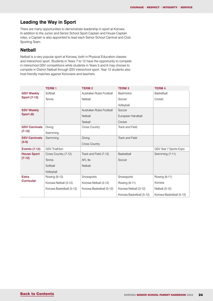### **Leading the Way in Sport**

There are many opportunities to demonstrate leadership in sport at Korowa. In addition to the Junior and Senior School Sport Captain and House Captain roles, a Captain is also appointed to lead each Senior School Carnival and Club Sporting Team.

#### **Netball**

Netball is a very popular sport at Korowa, both in Physical Education classes and interschool sport. Students in Years 7 to 12 have the opportunity to compete in interschool GSV competitions while students in Years 5 and 6 may choose to compete in District Netball through SSV interschool sport. Year 12 students also host friendly matches against Korovians and teachers.

|                      | <b>TERM1</b>             | <b>TERM2</b>              | <b>TERM3</b>             | <b>TERM 4</b>            |
|----------------------|--------------------------|---------------------------|--------------------------|--------------------------|
| <b>GSV Weekly</b>    | Softball                 | Australian Rules Football | Badminton                | Basketball               |
| <b>Sport (7-12)</b>  | <b>Tennis</b>            | Netball                   | Soccer                   | Cricket                  |
|                      |                          |                           | Volleyball               |                          |
| <b>SSV Weekly</b>    |                          | Australian Rules Football | Soccer                   |                          |
| Sport (6)            |                          | Netball                   | European Handball        |                          |
|                      |                          | Teeball                   | Cricket                  |                          |
| <b>GSV Carnivals</b> | Diving                   | Cross Country             | Track and Field          |                          |
| $(7-12)$             | Swimming                 |                           |                          |                          |
| <b>SSV Carnivals</b> | Swimming                 | Diving                    | <b>Track and Field</b>   |                          |
| $(3-6)$              |                          | <b>Cross Country</b>      |                          |                          |
| <b>Events (7-12)</b> | <b>GSV Triathlon</b>     |                           |                          | GSV Year 7 Sports Expo   |
| <b>House Sport</b>   | Cross Country (7-12)     | Track and Field (7-12)    | Basketball               | Swimming (7-11)          |
| $(7-12)$             | Tennis                   | AFL <sub>9s</sub>         | Soccer                   |                          |
|                      | Softball                 | Netball                   |                          |                          |
|                      | Volleyball               |                           |                          |                          |
| <b>Extra</b>         | Rowing (9-12)            | Snowsports                | Snowsports               | Rowing (8-11)            |
| <b>Curricular</b>    | Korowa Netball (3-12)    | Korowa Netball (3-12)     | Rowing (8-11)            | Korowa                   |
|                      | Korowa Basketball (5-12) | Korowa Basketball (5-12)  | Korowa Netball (3-12)    | Netball (3-12)           |
|                      |                          |                           | Korowa Basketball (5-12) | Korowa Basketball (5-12) |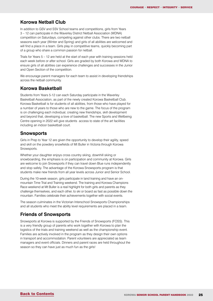#### **Korowa Netball Club**

In addition to GSV and SSV School teams and competitions, girls from Years 3 – 12 can participate in the Waverley District Netball Association (WDNA) competition on Saturdays, competing against other clubs. There are two netball seasons each year (Winter and Spring) and girls of all abilities are welcomed and will find a place in a team. Girls play in competitive teams, quickly becoming part of a group who share a common passion for netball.

Trials for Years 5 – 12 are held at the start of each year with training sessions held each week before or after school. Girls are graded by both Korowa and WDNA to ensure girls of all abilities can experience challenges and successes in the Junior and Open Section of the competition.

We encourage parent managers for each team to assist in developing friendships across the netball community.

#### **Korowa Basketball**

Students from Years 5-12 can each Saturday participate in the Waverley Basketball Association, as part of the newly created Korowa Basketball Club. Korowa Basketball is for students of all abilities, from those who have played for a number of years to those who are new to the game. The focus of the program is on challenging each individual, creating new friendships, skill development and beyond that, developing a love of basketball. The new Sports and Wellbeing Centre opening in 2022 will give students access to state of the art facilities including an indoor basketball court.

#### **Snowsports**

Girls in Prep to Year 12 are given the opportunity to develop their agility, speed and skill on the powdery snowfields of Mt Buller in Victoria through Korowa Snowsports.

Whether your daughter enjoys cross country skiing, downhill skiing or snowboarding, the emphasis is on participation and community at Korowa. Girls are welcome to join Snowsports if they can travel down Blue runs independently and stop safely. The advantage of the Korowa Snowsports program is that students make new friends from all year levels across Junior and Senior School.

During the 10-week season, girls participate in land training and have an onmountain Time Trial and Training weekend. The training and Korowa Champions Race weekend at Mt Buller is a real highlight for both girls and parents as they challenge themselves, and each other, to ski or board as fast as possible down the mountain. Families celebrate their achievements together with social events.

The season culminates in the Victorian Interschool Snowsports Championships and all students who meet the ability level requirements are placed in a team.

#### **Friends of Snowsports**

Snowsports at Korowa is supported by the Friends of Snowsports (FOSS). This is a very friendly group of parents who work together with Korowa to plan the logistics of the trials and training weekend as well as the championship event. Families are actively involved in the program as they design their own options in transport and accommodation. Parent volunteers are appreciated as team managers and event officials. Dinners and parent races are held throughout the season so they can have just as much fun as the girls!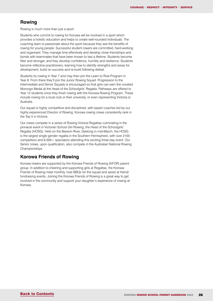#### **Rowing**

Rowing is much more than just a sport.

Students who commit to rowing for Korowa will be involved in a sport which provides a holistic education and helps to create well-rounded individuals. The coaching team is passionate about the sport because they see the benefits of rowing for young people. Successful student rowers are committed, hard-working and organised. They manage time effectively and develop close friendships and bonds with teammates that have been known to last a lifetime. Students become fitter and stronger, and they develop confidence, humility and resilience. Students become reflective practitioners, learning how to identify strengths and areas for development, build on success and re-build following defeat.

Students try rowing in Year 7 and may then join the Learn to Row Program in Year 8. From there they'll join the Junior Rowing Squad. Progression to the Intermediate and Senior Squads is encouraged so that girls can earn the coveted Morongo Medal at the Head of the Schoolgirls' Regatta. Pathways are offered to Year 12 students once they finish rowing with the Korowa Rowing Program. These include rowing for a local club or their university, or even representing Victoria or Australia.

Our squad is highly competitive and disciplined, with expert coaches led by our highly experienced Director of Rowing. Korowa rowing crews consistently rank in the Top 5 in Victoria.

Our crews compete in a series of Rowing Victoria Regattas culminating in the pinnacle event in Victorian School Girl Rowing, the Head of the Schoolgirls' Regatta (HOSG). Held on the Barwon River, Geelong in mid-March, the HOSG is the largest single gender regatta in the Southern Hemisphere, with over 2100 competitors and 6,000+ spectators attending this exciting three-day event. Our Senior crews, upon qualification, also compete in the Australian National Rowing Championships.

#### **Korowa Friends of Rowing**

Korowa rowers are supported by the Korowa Friends of Rowing (KFOR) parent group. In addition to cheering and supporting girls at Regattas, the Korowa Friends of Rowing meet monthly, host BBQs for the squad and assist at friend/ fundraising events. Joining the Korowa Friends of Rowing is a great way to get involved in the community and support your daughter's experience of rowing at Korowa.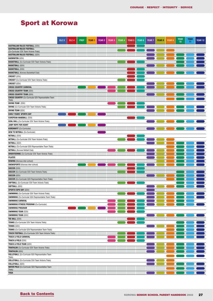## <span id="page-26-0"></span>Sport at Korowa

|                                                                                    | ELC <sub>3</sub> | ELC <sub>4</sub> | <b>PREP</b> | <b>YEAR1</b> | <b>YEAR 2</b> | <b>YEAR 3</b> | <b>YEAR 4</b> | <b>YEAR 5</b> | YEAR <sub>6</sub> | <b>YEAR 7</b> | YEAR <sub>8</sub> | <b>YEAR 9</b> | <b>YEAR</b><br>10 | <b>YEAR</b><br>-11 | <b>YEAR 12</b> |
|------------------------------------------------------------------------------------|------------------|------------------|-------------|--------------|---------------|---------------|---------------|---------------|-------------------|---------------|-------------------|---------------|-------------------|--------------------|----------------|
| <b>AUSTRALIAN RULES FOOTBALL (SSV)</b>                                             |                  |                  |             |              |               |               |               |               |                   |               |                   |               |                   |                    |                |
| <b>AUSTRALIAN RULES FOOTBALL</b>                                                   |                  |                  |             |              |               |               |               |               |                   |               |                   |               |                   |                    |                |
| (Co-Curricular SSV Team Victoria Trials)                                           |                  |                  |             |              |               |               |               |               |                   |               |                   |               |                   |                    |                |
| <b>AUSTRALIAN RULES FOOTBALL (GSV)</b>                                             |                  |                  |             |              |               |               |               |               |                   |               |                   |               |                   |                    |                |
| <b>BADMINTON (GSV)</b>                                                             |                  |                  |             |              |               |               |               |               |                   |               |                   |               |                   |                    |                |
| <b>BASKETBALL</b> (Co-Curricular SSV Team Victoria Trials)                         |                  |                  |             |              |               |               |               |               |                   |               |                   |               |                   |                    |                |
| <b>BASKETBALL (GSV)</b>                                                            |                  |                  |             |              |               |               |               |               |                   |               |                   |               |                   |                    |                |
| <b>BASKETBALL (SSV)</b>                                                            |                  |                  |             |              |               |               |               |               |                   |               |                   |               |                   |                    |                |
| <b>BASKETBALL</b> (Korowa Basketball Club)                                         |                  |                  |             |              |               |               |               |               |                   |               |                   |               |                   |                    |                |
| <b>CRICKET (SSV)</b>                                                               |                  |                  |             |              |               |               |               |               |                   |               |                   |               |                   |                    |                |
| <b>CRICKET</b> (Co-Curricular SSV Team Victoria Trials)                            |                  |                  |             |              |               |               |               |               |                   |               |                   |               |                   |                    |                |
| <b>CRICKET</b> (GSV)                                                               |                  |                  |             |              |               |               |               |               |                   |               |                   |               |                   |                    |                |
| <b>CROSS COUNTRY CARNIVAL</b>                                                      |                  |                  |             |              |               |               |               |               |                   |               |                   |               |                   |                    |                |
| <b>CROSS COUNTRY TEAM (SSV)</b>                                                    |                  |                  |             |              |               |               |               |               |                   |               |                   |               |                   |                    |                |
| <b>CROSS COUNTRY TEAM (GSV)</b>                                                    |                  |                  |             |              |               |               |               |               |                   |               |                   |               |                   |                    |                |
| <b>CROSS COUNTRY</b> (Co-Curricular GSV Representative Team                        |                  |                  |             |              |               |               |               |               |                   |               |                   |               |                   |                    |                |
| Trials)<br><b>DIVING TEAM (SSV)</b>                                                |                  |                  |             |              |               |               |               |               |                   |               |                   |               |                   |                    |                |
|                                                                                    |                  |                  |             |              |               |               |               |               |                   |               |                   |               |                   |                    |                |
| <b>DIVING</b> (Co-Curricular SSV Team Victoria Trials)                             |                  |                  |             |              |               |               |               |               |                   |               |                   |               |                   |                    |                |
| <b>DIVING TEAM (GSV)</b>                                                           |                  |                  |             |              |               |               |               |               |                   |               |                   |               |                   |                    |                |
| <b>EARLY YEARS' SPORTS DAY</b>                                                     |                  |                  |             |              |               |               |               |               |                   |               |                   |               |                   |                    |                |
| <b>EUROPEAN HANDBALL (SSV)</b>                                                     |                  |                  |             |              |               |               |               |               |                   |               |                   |               |                   |                    |                |
| <b>GOAL BALL</b> (Co-Curricular SSV Team Victoria Trials)                          |                  |                  |             |              |               |               |               |               |                   |               |                   |               |                   |                    |                |
| JUMP ROPE FOR HEART                                                                |                  |                  |             |              |               |               |               |               |                   |               |                   |               |                   |                    |                |
| <b>KOROWAFIT</b> (Co-Curricular)                                                   |                  |                  |             |              |               |               |               |               |                   |               |                   |               |                   |                    |                |
| <b>NEW TO NETBALL (Co-Curricular)</b>                                              |                  |                  |             |              |               |               |               |               |                   |               |                   |               |                   |                    |                |
| <b>NETBALL (SSV)</b>                                                               |                  |                  |             |              |               |               |               |               |                   |               |                   |               |                   |                    |                |
| <b>NETBALL</b> (Co-Curricular SSV Team Victoria Trials)                            |                  |                  |             |              |               |               |               |               |                   |               |                   |               |                   |                    |                |
| <b>NETBALL (GSV)</b>                                                               |                  |                  |             |              |               |               |               |               |                   |               |                   |               |                   |                    |                |
| <b>NETBALL</b> (Co-Curricular GSV Representative Team Trials)                      |                  |                  |             |              |               |               |               |               |                   |               |                   |               |                   |                    |                |
| <b>NETBALL</b> (Korowa Netball Club)                                               |                  |                  |             |              |               |               |               |               |                   |               |                   |               |                   |                    |                |
| <b>ORIENTEERING</b> (Co-Curricular SSV Team Victoria Trials)                       |                  |                  |             |              |               |               |               |               |                   |               |                   |               |                   |                    |                |
| <b>PILATES</b>                                                                     |                  |                  |             |              |               |               |               |               |                   |               |                   |               |                   |                    |                |
| ROWING (Korowa inter-school)                                                       |                  |                  |             |              |               |               |               |               |                   |               |                   |               |                   |                    |                |
| <b>SNOWSPORTS</b> (Korowa inter-school)                                            |                  |                  |             |              |               |               |               |               |                   |               |                   |               |                   |                    |                |
| SOCCER (SSV)                                                                       |                  |                  |             |              |               |               |               |               |                   |               |                   |               |                   |                    |                |
| <b>SOCCER</b> (Co-Curricular SSV Team Victoria Trials)                             |                  |                  |             |              |               |               |               |               |                   |               |                   |               |                   |                    |                |
| SOCCER (GSV)                                                                       |                  |                  |             |              |               |               |               |               |                   |               |                   |               |                   |                    |                |
| <b>SOCCER</b> (Co-Curricular GSV Representative Team Trials)                       |                  |                  |             |              |               |               |               |               |                   |               |                   |               |                   |                    |                |
| SOFTBALL (Co-Curricular SSV Team Victoria Trials)                                  |                  |                  |             |              |               |               |               |               |                   |               |                   |               |                   |                    |                |
| SOFTBALL (GSV)                                                                     |                  |                  |             |              |               |               |               |               |                   |               |                   |               |                   |                    |                |
| <b>SPORTS EXPO DAY (GSV)</b>                                                       |                  |                  |             |              |               |               |               |               |                   |               |                   |               |                   |                    |                |
| <b>SWIMMING</b> (Co-Curricular SSV Team Victoria Trials)                           |                  |                  |             |              |               |               |               |               |                   |               |                   |               |                   |                    |                |
| <b>SWIMMING</b> (Co-Curricular GSV Representative Team Trials)                     |                  |                  |             |              |               |               |               |               |                   |               |                   |               |                   |                    |                |
| <b>SWIMMING CARNIVAL</b>                                                           |                  |                  |             |              |               |               |               |               |                   |               |                   |               |                   |                    |                |
| <b>SWIMMING FITNESS PROGRAM (Co-Curricular)</b>                                    |                  |                  |             |              |               |               |               |               |                   |               |                   |               |                   |                    |                |
| SWIMMING PROGRAM                                                                   |                  |                  |             |              |               |               |               |               |                   |               |                   |               |                   |                    |                |
| <b>SWIMMING TEAM (SSV)</b>                                                         |                  |                  |             |              |               |               |               |               |                   |               |                   |               |                   |                    |                |
| <b>SWIMMING TEAM (GSV)</b>                                                         |                  |                  |             |              |               |               |               |               |                   |               |                   |               |                   |                    |                |
| TEE BALL (SSV)                                                                     |                  |                  |             |              |               |               |               |               |                   |               |                   |               |                   |                    |                |
| TENNIS (Co-Curricular SSV Team Victoria Trials)                                    |                  |                  |             |              |               |               |               |               |                   |               |                   |               |                   |                    |                |
| TENNIS (GSV)                                                                       |                  |                  |             |              |               |               |               |               |                   |               |                   |               |                   |                    |                |
| TENNIS (Co-Curricular GSV Representative Team Trials)                              |                  |                  |             |              |               |               |               |               |                   |               |                   |               |                   |                    |                |
| TOUCH FOOTBALL (Co-Curricular SSV Team Victoria Trials)                            |                  |                  |             |              |               |               |               |               |                   |               |                   |               |                   |                    |                |
| <b>TRACK &amp; FIELD CARNIVAL</b>                                                  |                  |                  |             |              |               |               |               |               |                   |               |                   |               |                   |                    |                |
| <b>TRACK &amp; FIELD (SSV)</b>                                                     |                  |                  |             |              |               |               |               |               |                   |               |                   |               |                   |                    |                |
| TRACK & FIELD TEAM (GSV)                                                           |                  |                  |             |              |               |               |               |               |                   |               |                   |               |                   |                    |                |
|                                                                                    |                  |                  |             |              |               |               |               |               |                   |               |                   |               |                   |                    |                |
| <b>TRIATHLON</b> (Co-Curricular SSV Team Victoria Trials)                          |                  |                  |             |              |               |               |               |               |                   |               |                   |               |                   |                    |                |
| <b>TRIATHLON (GSV)</b><br><b>VOLLEYBALL</b> (Co-Curricular GSV Representative Team |                  |                  |             |              |               |               |               |               |                   |               |                   |               |                   |                    |                |
| Trials)                                                                            |                  |                  |             |              |               |               |               |               |                   |               |                   |               |                   |                    |                |
| <b>VOLLEYBALL</b> (Co-Curricular SSV Team Victoria Trials)                         |                  |                  |             |              |               |               |               |               |                   |               |                   |               |                   |                    |                |
| <b>VOLLEYBALL (GSV)</b>                                                            |                  |                  |             |              |               |               |               |               |                   |               |                   |               |                   |                    |                |
| WATER POLO (Co-Curricular GSV Representative Team                                  |                  |                  |             |              |               |               |               |               |                   |               |                   |               |                   |                    |                |
| Trials)                                                                            |                  |                  |             |              |               |               |               |               |                   |               |                   |               |                   |                    |                |
| <b>YOGA</b>                                                                        |                  |                  |             |              |               |               |               |               |                   |               |                   |               |                   |                    |                |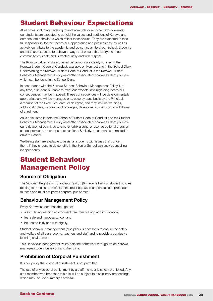### <span id="page-27-0"></span>Student Behaviour Expectations

At all times, including travelling to and from School (or other School events), our students are expected to uphold the values and traditions of Korowa and demonstrate behaviours which reflect these values. They are expected to take full responsibility for their behaviour, appearance and possessions, as well as actively contribute to the academic and co-curricular life of our School. Students and staff are expected to behave in ways that ensure that everyone in our community feels safe and is treated justly and with respect.

The Korowa Values and associated behaviours are clearly outlined in the Korowa Student Code of Conduct, available on Konnect and in the School Diary. Underpinning the Korowa Student Code of Conduct is the Korowa Student Behaviour Management Policy (and other associated Korowa student policies), which can be found in the School Diary.

In accordance with the Korowa Student Behaviour Management Policy if, at any time, a student is unable to meet our expectations regarding behaviour, consequences may be imposed. These consequences will be developmentally appropriate and will be managed on a case by case basis by the Principal, a member of the Executive Team, or delegate, and may include warnings, additional duties, withdrawal of privileges, detentions, suspension or withdrawal of enrolment.

As is articulated in both the School's Student Code of Conduct and the Student Behaviour Management Policy (and other associated Korowa student policies), our girls are not permitted to smoke, drink alcohol or use recreational drugs on school premises, on camps or excursions. Similarly, no student is permitted to drive to School.

Wellbeing staff are available to assist all students with issues that concern them. If they choose to do so, girls in the Senior School can seek counselling independently.

## Student Behaviour Management Policy

### **Source of Obligation**

The Victorian Registration Standards [\(s 4.3.1\(6\)\)](http://www5.austlii.edu.au/au/legis/vic/consol_act/eatra2006273/s4.3.1.html) require that our student policies relating to the discipline of students must be based on principles of procedural fairness and must not permit corporal punishment.

### **Behaviour Management Policy**

Every Korowa student has the right to:

- a stimulating learning environment free from bullying and intimidation;
- feel safe and happy at school; and
- be treated fairly and with dignity.

Student behaviour management (discipline) is necessary to ensure the safety and welfare of all our students, teachers and staff and to provide a conducive learning environment.

This Behaviour Management Policy sets the framework through which Korowa manages student behaviour and discipline.

### **Prohibition of Corporal Punishment**

It is our policy that corporal punishment is not permitted.

The use of any corporal punishment by a staff member is strictly prohibited. Any staff member who breaches this rule will be subject to disciplinary proceedings which may include summary dismissal.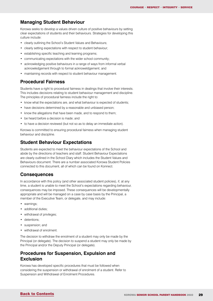#### **Managing Student Behaviour**

Korowa seeks to develop a values driven culture of positive behaviours by setting clear expectations of students and their behaviours. Strategies for developing this culture include:

- clearly outlining the School's Student Values and Behaviours;
- clearly setting expectations with respect to student behaviour;
- establishing specific teaching and learning programs;
- communicating expectations with the wider school community;
- acknowledging positive behaviours in a range of ways from informal verbal acknowledgement through to formal acknoweldgement; and
- maintaining records with respect to student behaviour management.

#### **Procedural Fairness**

Students have a right to procedural fairness in dealings that involve their interests. This includes decisions relating to student behaviour management and discipline. The principles of procedural fairness include the right to:

- know what the expectations are, and what behaviour is expected of students;
- have decisions determined by a reasonable and unbiased person;
- know the allegations that have been made, and to respond to them;
- be heard before a decision is made; and
- to have a decision reviewed (but not so as to delay an immediate action).

Korowa is committed to ensuring procedural fairness when managing student behaviour and discipline.

#### **Student Behaviour Expectations**

Students are expected to meet the behaviour expectations of the School and abide by the directions of teachers and staff. Student Behaviour Expectations are clearly outlined in the School Diary which includes the Student Values and Behaviours document. There are a number associated Korowa Student Policies connected to this document, all of which can be found on Konnect.

#### **Consequences**

In accordance with this policy (and other associated student policies), if, at any time, a student is unable to meet the School's expectations regarding behaviour, consequences may be imposed. These consequences will be developmentally appropriate and will be managed on a case by case basis by the Principal, a member of the Executive Team, or delegate, and may include:

- warnings:
- additional duties;
- withdrawal of privileges;
- detentions;
- suspension; and
- withdrawal of enrolment.

The decision to withdraw the enrolment of a student may only be made by the Principal (or delegate). The decision to suspend a student may only be made by the Principal and/or the Deputy Principal (or delegate).

### **Procedures for Suspension, Expulsion and Exclusion**

Korowa has developed specific procedures that must be followed when considering the suspension or withdrawal of enrolment of a student. Refer to Suspension and Withdrawal of Enrolment Procedures.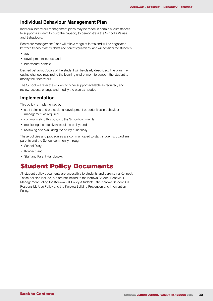#### **Individual Behaviour Management Plan**

Individual behaviour management plans may be made in certain circumstances to support a student to build the capacity to demonstrate the School's Values and Behaviours.

Behaviour Management Plans will take a range of forms and will be negotiated between School staff, students and parents/guardians, and will consider the student's:

- age;
- developmental needs; and
- behavioural context.

Desired behaviour/goals of the student will be clearly described. The plan may outline changes required to the learning environment to support the student to modify their behaviour.

The School will refer the student to other support available as required, and review, assess, change and modify the plan as needed.

#### **Implementation**

This policy is implemented by:

- staff training and professional development opportunities in behaviour management as required;
- communicating this policy to the School community;
- monitoring the effectiveness of the policy; and
- reviewing and evaluating the policy bi-annually.

These policies and procedures are communicated to staff, students, guardians, parents and the School community through:

- School Diary
- Konnect; and
- Staff and Parent Handbooks

## Student Policy Documents

All student policy documents are accessible to students and parents via Konnect. These policies include, but are not limited to the Korowa Student Behaviour Management Policy, the Korowa ICT Policy (Students), the Korowa Student ICT Responsible Use Policy and the Korowa Bullying Prevention and Intervention Policy.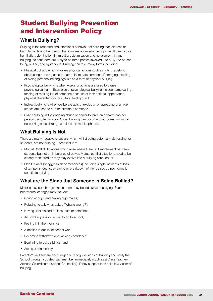## <span id="page-30-0"></span>Student Bullying Prevention and Intervention Policy

### **What is Bullying?**

Bullying is the repeated and intentional behaviour of causing fear, distress or harm towards another person that involves an imbalance of power. It can involve humiliation, domination, intimidation, victimisation and harassment. In any bullying incident there are likely to be three parties involved: the bully, the person being bullied, and bystanders. Bullying can take many forms including:

- Physical bullying which involves physical actions such as hitting, pushing, obstructing or being used to hurt or intimidate someone. Damaging, stealing or hiding personal belongings is also a form of physical bullying.
- Psychological bullying is when words or actions are used to cause psychological harm. Examples of psychological bullying include name calling, teasing or making fun of someone because of their actions, appearance, physical characteristics or cultural background.
- Indirect bullying is when deliberate acts of exclusion or spreading of untrue stories are used to hurt or intimidate someone.
- Cyber bullying is the ongoing abuse of power to threaten or harm another person using technology. Cyber bullying can occur in chat rooms, on social networking sites, through emails or on mobile phones.

### **What Bullying is Not**

There are many negative situations which, whilst being potentially distressing for students, are not bullying. These include:

- Mutual Conflict Situations which arise where there is disagreement between students but not an imbalance of power. Mutual conflict situations need to be closely monitored as they may evolve into a bullying situation; or
- One Off Acts (of aggression or meanness) including single incidents of loss of temper, shouting, swearing or breakdown of friendships do not normally constitute bullying

### **What are the Signs that Someone is Being Bullied?**

Major behaviour changes in a student may be indicative of bullying. Such behavioural changes may include:

- Crying at night and having nightmares;
- Refusing to talk when asked "What's wrong?";
- Having unexplained bruises, cuts or scratches:
- An unwillingness or refusal to go to school;
- Feeling ill in the mornings;
- A decline in quality of school work;
- Becoming withdrawn and lacking confidence;
- Beginning to bully siblings; and
- Acting unreasonably.

Parents/guardians are encouraged to recognise signs of bullying and notify the School through a trusted staff member immediately (such as a Class Teacher/ Advisor, Co-ordinator, School Counsellor), if they suspect their child is a victim of bullying.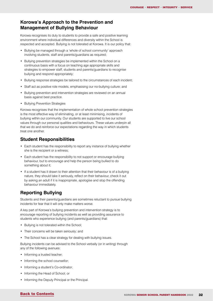#### **Korowa's Approach to the Prevention and Management of Bullying Behaviour**

Korowa recognises its duty to students to provide a safe and positive learning environment where individual differences and diversity within the School is respected and accepted. Bullying is not tolerated at Korowa. It is our policy that:

- Bullying be managed through a 'whole of school community' approach involving students, staff and parents/guardians as required;
- Bullying prevention strategies be implemented within the School on a continuous basis with a focus on teaching age appropriate skills and strategies to empower staff, students and parents/guardians to recognise bullying and respond appropriately;
- Bullying response strategies be tailored to the circumstances of each incident;
- Staff act as positive role models, emphasising our no-bullying culture; and
- Bullying prevention and intervention strategies are reviewed on an annual basis against best practice.
- Bullying Prevention Strategies

Korowa recognises that the implementation of whole school prevention strategies is the most effective way of eliminating, or at least minimising, incidents of bullying within our community. Our students are supported to live our school values through our personal qualities and behaviours. These values underpin all that we do and reinforce our expectations regarding the way in which students treat one another.

#### **Student Responsibilities**

- Each student has the responsibility to report any instance of bullying whether she is the recipient or a witness;
- Each student has the responsibility to not support or encourage bullying behaviour, but to encourage and help the person being bullied to do something about it;
- If a student has it drawn to their attention that their behaviour is of a bullying nature, they should take it seriously, reflect on their behaviour, check it out by asking an adult if it is inappropriate, apologise and stop the offending behaviour immediately.

### **Reporting Bullying**

Students and their parents/guardians are sometimes reluctant to pursue bullying incidents for fear that it will only make matters worse.

A key part of Korowa's bullying prevention and intervention strategy is to encourage reporting of bullying incidents as well as providing assurance to students who experience bullying (and parents/guardians) that:

- Bullying is not tolerated within the School;
- Their concerns will be taken seriously; and
- The School has a clear strategy for dealing with bullying issues.

Bullying incidents can be advised to the School verbally (or in writing) through any of the following avenues:

- Informing a trusted teacher;
- Informing the school counsellor;
- Informing a student's Co-ordinator;
- Informing the Head of School; or
- Informing the Deputy Principal or the Principal.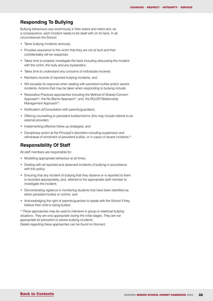#### **Responding To Bullying**

Bullying behaviours vary enormously in their extent and intent and, as a consequence, each incident needs to be dealt with on its facts. In all circumstances the School:

- Takes bullying incidents seriously;
- Provides assurance to the victim that they are not at fault and their confidentiality will be respected;
- Takes time to properly investigate the facts including discussing the incident with the victim, the bully and any bystanders;
- Takes time to understand any concerns of individuals involved;
- Maintains records of reported bullying incidents; and
- Will escalate its response when dealing with persistent bullies and/or severe incidents. Actions that may be taken when responding to bullying include:
- Restorative Practices approaches including the Method of Shared Concern Approach\*; the No Blame Approach\*; and, the RULER Relationship Management Approach\*;
- Notification of/Consultation with parents/guardians;
- Offering counselling to persistent bullies/victims (this may include referral to an external provider);
- Implementing effective follow up strategies; and
- Disciplinary action at the Principal's discretion including suspension and withdrawal of enrolment of persistent bullies, or in cases of severe incidents.\*

### **Responsibility Of Staff**

All staff members are responsible for:

- Modelling appropriate behaviour at all times;
- Dealing with all reported and observed incidents of bullying in accordance with this policy;
- Ensuring that any incident of bullying that they observe or is reported to them is recorded appropriately, and, referred to the appropriate staff member to investigate the incident;
- Demonstrating vigilance in monitoring students that have been identified as either persistent bullies or victims; and
- Acknowledging the right of parents/guardian to speak with the School if they believe their child is being bullied.

*\* These approaches may be used to intervene in group or relational bullying situations. They are only appropriate during the initial stages. They are not appropriate for persistent or severe bullying incidents. Details regarding these approaches can be found on Konnect.*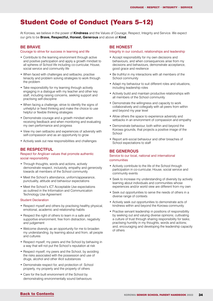### <span id="page-33-0"></span>Student Code of Conduct (Years 5–12)

At Korowa, we believe in the power of **Kindness** and the Values of Courage, Respect, Integrity and Service. We expect our girls to be **Brave, Respectful, Honest, Generous** and above all **Kind**.

#### **BE BRAVE**

#### Courage to strive for success in learning and life

- Contribute to the learning environment through active and positive participation and apply a growth mindset to all spheres of School life including co-curricular, House, social service and community life
- When faced with challenges and setbacks, practise tenacity and problem solving strategies to work through the problem
- Take responsibility for my learning through actively engaging in a dialogue with my teacher and other key staff, including raising concerns, seeking support and practising self-discipline
- When facing a challenge, strive to identify the signs of unhelpful or fixed thinking and make the choice to use helpful or flexible thinking strategies
- Demonstrate courage and a growth mindset when receiving feedback and when monitoring and evaluating my own performance and progress
- View my own setbacks and experiences of adversity with self-compassion and as an opportunity to grow
- Actively seek out new responsibilities and challenges

#### **BE RESPECTFUL**

#### Respect for Anglican values that promote authentic social responsibility

- Through thoughts, words and actions, actively demonstrate respect, inclusivity, empathy and generosity towards all members of the School community
- Meet the School's attendance, uniform/appearance, punctuality, attitude and behaviour expectations
- Meet the School's ICT Acceptable Use expectations as outlined in the Information and Communication Technology Use Agreement

#### Student Declaration

- Respect myself and others by practising healthy physical. emotional, academic and relationship habits
- Respect the right of others to learn in a safe and supportive environment, free from distraction, negativity and judgement
- Welcome diversity as an opportunity for me to broaden my understanding, by learning about and from, all people and cultures
- Respect myself, my peers and the School by behaving in a way that will not put the School's reputation at risk
- Respect myself, my peers and the School, by avoiding the risks associated with the possession and use of drugs, alcohol and other illicit substances
- Demonstrate respect for, and protection of: School property, my property and the property of others
- Care for the built environment of the School by demonstrating environmentally sound behaviours

#### **BE HONEST**

#### Integrity in our conduct, relationships and leadership

- Accept responsibility for my own decisions and behaviours, and when consequences arise from my decisions and behaviours, demonstrate acceptance, good grace and resilience
- Be truthful in my interactions with all members of the School community
- Adapt my behaviour to suit different roles and situations, including leadership roles
- Actively build and maintain productive relationships with all members of the School community
- Demonstrate the willingness and capacity to work collaboratively and collegially with all peers from within and beyond my year level
- Allow others the space to experience adversity and setbacks in an environment of compassion and empathy
- Demonstrate behaviour, both within and beyond the Korowa grounds, that projects a positive image of the **School**
- Report anti-social behaviour and other breaches of School expectations to staff

#### **BE GENEROUS**

#### Service to our local, national and international communities

- Actively contribute to the life of the School through participation in co-curricular, House, social service and community events
- Seek to increase my understanding of diversity by actively learning about individuals and communities whose experiences and/or world view are different from my own
- Seek out opportunities to serve the needs of others in a diverse range of contexts
- Actively seek out opportunities to demonstrate acts of kindness within and beyond the Korowa community
- Practise servant leadership in positions of responsibility by seeking out and valuing diverse opinions; cultivating a culture of trust through sharing responsibility for tasks; practising humility in my thoughts, words and actions; and, encouraging and developing the leadership capacity of others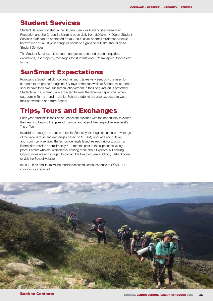## <span id="page-34-0"></span>Student Services

Student Services, located in the Student Services building (between Main Reception and the Cripps Building) is open daily from 8.00am – 4.00pm. Student Services staff can be contacted on (03) 8808 8810 or email studentservices @ korowa.vic.edu.au. If your daughter needs to sign in or out, she should go to Student Services.

The Student Services office also manages student and parent enquiries, excursions, lost property, messages for students and PTV Transport Concession forms.

### SunSmart Expectations

Korowa is a SunSmart School and, as such, takes very seriously the need for students to be protected against UV rays of the sun while at School. All students should have their own sunscreen lotion/cream in their bag (roll-on is preferred). Students in ELC – Year 8 are expected to wear the Korowa cap/sunhat when outdoors in Terms 1 and 4. Junior School students are also expected to wear their straw hat to and from School.

## Trips, Tours and Exchanges

Each year, students in the Senior School are provided with the opportunity to extend their learning beyond the gates of Korowa, and attend their respective year level's Trip or Tour.

In addition, through the course of Senior School, your daughter can take advantage of the various tours and exchanges based on STEAM; language and culture; and, community service. The School generally launches each trip or tour with an information session approximately 6-12 months prior to the experience taking place. Parents who are interested in learning more about Experiential Learning Opportunities are encouraged to contact the Head of Senior School, Karlie Stocker, or visit the School website.

In 2022, Trips and Tours will be modified/rescheduled in response to COVID-19 conditions as required.

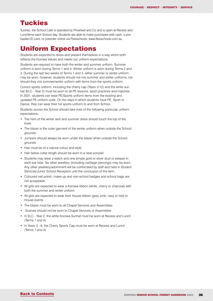### <span id="page-35-0"></span>**Tuckies**

Tuckies, the School Café is operated by Pinwheel and Co and is open at Recess and Lunchtime each School day. Students are able to make purchases with cash, a preloaded ID card, or preorder online via Flexischools: www.flexischools.com.au

### Uniform Expectations

Students are expected to dress and present themselves in a way which both reflects the Korowa Values and meets our uniform expectations.

Students are required to have both the winter and summer uniform. Summer uniform is worn during Terms 1 and 4. Winter uniform is worn during Terms 2 and 3. During the last two weeks of Terms 1 and 3, either summer or winter uniform may be worn; however, students should not mix summer and winter uniforms, nor should they mix summer/winter uniform with items from the sports uniform.

Correct sports uniform, including the cherry cap (Years 3-12) and the white sun hat (ELC - Year 2) must be worn to all PE lessons, sport practices and matches. In 2021, students can wear PE/Sports uniform items from the existing and updated PE uniform suite. On the days in which students have PE, Sport or Dance, they can wear their full sports uniform to and from School.

Students across the School should take note of the following particular uniform expectations:

- The hem of the winter skirt and summer dress should touch the top of the knee
- The blazer is the outer garment of the winter uniform when outside the School grounds
- Jumpers should always be worn under the blazer when outside the School grounds
- Hair must be of a natural colour and style
- Hair below collar length should be worn in a neat ponytail
- Students may wear a watch and one simple gold or silver stud or sleeper in each ear lobe. No other jewellery (including cartilage piercings) may be worn. Any other jewellery/adornment will be confiscated by staff and held in Student Services/Junior School Reception until the conclusion of the term
- Coloured nail polish, make-up and non-school badges and school bags are not acceptable
- All girls are expected to wear a Korowa ribbon (white, cherry or charcoal) with both the summer and winter uniform
- All girls are expected to wear their House ribbon (grey, pink, navy or red) to House events
- The blazer must be worn to all Chapel Services and Assemblies
- Scarves should not be worn to Chapel Services or Assemblies
- In ELC Year 2, the white Korowa Sunhat must be worn at Recess and Lunch (Terms 1 and 4)
- In Years 3 8, the Cherry Sports Cap must be worn at Recess and Lunch (Terms 1 and 4)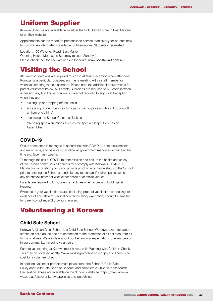### <span id="page-36-0"></span>Uniform Supplier

Korowa Uniforms are available from either the Bob Stewart store in East Malvern or on their website.

Appointments can be made for personalised service, particularly for parents new to Korowa. An interpreter is available for International Students if requested.

Location: 150 Waverley Road, East Malvern Opening Hours: Monday to Saturday (closed Sundays). Please check the [Bob Stewart website](http://www.bobstewart.com.au/) for hours: [www.bobstewart.com.au](http://www.bobstewart.com.au) 

## Visiting the School

All Parents/Guardians are required to sign in at Main Reception when attending Korowa for a particular purpose, such as a meeting with a staff member or when volunteering in the classroom. Please note the additional requirements for parent volunteers below. All Parents/Guardians are required to QR code in when accessing any building at Korowa but are not required to sign in at Reception when they are:

- picking up or dropping off their child
- accessing Student Services for a particular purpose (such as dropping off an item of clothing)
- accessing the School Cafeteria, Tuckies
- attending special functions such as the special Chapel Services or Assemblies

#### **COVID-19**

Onsite attendance is managed in accordance with COVID-19 safe requirements and restrictions, and parents must follow all government mandates in place at the time e.g. face mask wearing.

To manage the risk of COVID-19 transmission and ensure the health and safety of the Korowa community all parents must comply with Korowa's COVID-19 Mandatory Vaccination policy and provide proof of vaccination status to the School prior to entering the School grounds for any reason and/or when participating in any parent volunteer activities either onsite or at offsite venues.

Parents are required to QR Code in at all times when accessing buildings at Korowa.

Evidence of your vaccination status (including proof of vaccination or booking, or evidence of any relevant medical contraindication/ exemption) should be emailed to parentcompliance@korowa.vic.edu.au.

## Volunteering at Korowa

#### **Child Safe School**

Korowa Anglican Girls' School is a Child Safe School. We have a zero tolerance stance on child abuse and are committed to the protection of all children from all forms of abuse. We are clear about our behavioural expectations of every person in our community, including volunteers.

Parents volunteering at Korowa must have a valid Working With Children Check. This may be obtained at http://www.workingwithchildren.vic.gov.au/. There is no cost for a volunteer check.

In addition, volunteer parents must please read the School's Child Safe Policy and Child Safe Code of Conduct and complete a Child Safe Standards Declaration. These are available on the School's Website: https://www.korowa. vic.edu.au/discover-korowa/policies-and-guidelines/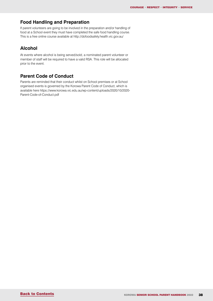### **Food Handling and Preparation**

If parent volunteers are going to be involved in the preparation and/or handling of food at a School event they must have completed the safe food handling course. This is a free online course available at http://dofoodsafely.health.vic.gov.au/

#### **Alcohol**

At events where alcohol is being served/sold, a nominated parent volunteer or member of staff will be required to have a valid RSA. This role will be allocated prior to the event.

#### **Parent Code of Conduct**

Parents are reminded that their conduct whilst on School premises or at School organised events is governed by the Korowa Parent Code of Conduct, which is available here https://www.korowa.vic.edu.au/wp-content/uploads/2020/10/2020- Parent-Code-of-Conduct.pdf